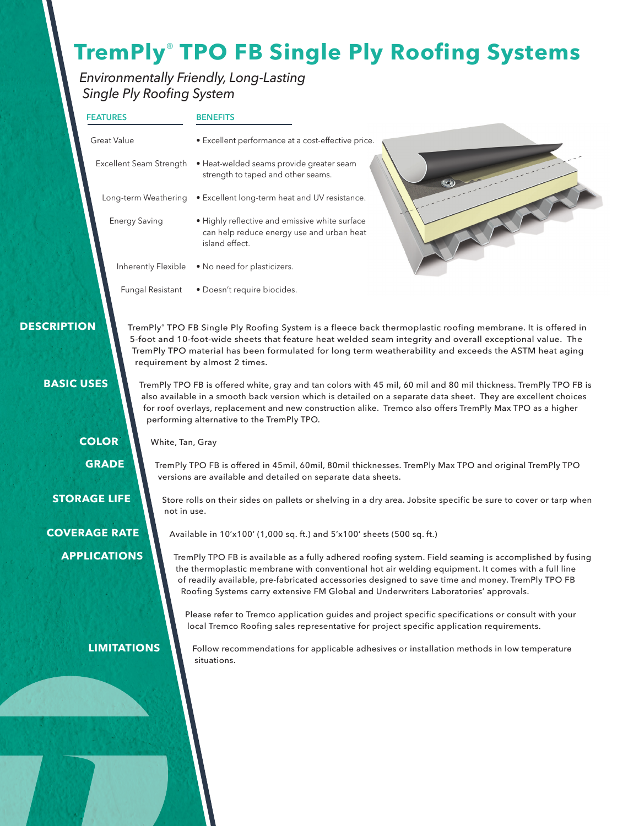# **TremPly**® **TPO FB Single Ply Roofing Systems**

### *Environmentally Friendly, Long-Lasting Single Ply Roofing System*

| <b>FEATURES</b>                    | <b>BENEFITS</b>                                                                                                                                                                                                                                                                                                                                                                                        |  |  |
|------------------------------------|--------------------------------------------------------------------------------------------------------------------------------------------------------------------------------------------------------------------------------------------------------------------------------------------------------------------------------------------------------------------------------------------------------|--|--|
| <b>Great Value</b>                 | · Excellent performance at a cost-effective price.                                                                                                                                                                                                                                                                                                                                                     |  |  |
| Excellent Seam Strength            | · Heat-welded seams provide greater seam<br>strength to taped and other seams.                                                                                                                                                                                                                                                                                                                         |  |  |
| Long-term Weathering               | • Excellent long-term heat and UV resistance.                                                                                                                                                                                                                                                                                                                                                          |  |  |
| <b>Energy Saving</b>               | · Highly reflective and emissive white surface<br>can help reduce energy use and urban heat<br>island effect.                                                                                                                                                                                                                                                                                          |  |  |
| Inherently Flexible                | . No need for plasticizers.                                                                                                                                                                                                                                                                                                                                                                            |  |  |
| Fungal Resistant                   | · Doesn't require biocides.                                                                                                                                                                                                                                                                                                                                                                            |  |  |
| <b>DESCRIPTION</b>                 | TremPly® TPO FB Single Ply Roofing System is a fleece back thermoplastic roofing membrane. It is offered in<br>5-foot and 10-foot-wide sheets that feature heat welded seam integrity and overall exceptional value. The<br>TremPly TPO material has been formulated for long term weatherability and exceeds the ASTM heat aging<br>requirement by almost 2 times.                                    |  |  |
| <b>BASIC USES</b>                  | TremPly TPO FB is offered white, gray and tan colors with 45 mil, 60 mil and 80 mil thickness. TremPly TPO FB is<br>also available in a smooth back version which is detailed on a separate data sheet. They are excellent choices<br>for roof overlays, replacement and new construction alike. Tremco also offers TremPly Max TPO as a higher<br>performing alternative to the TremPly TPO.          |  |  |
| <b>COLOR</b><br>White, Tan, Gray   |                                                                                                                                                                                                                                                                                                                                                                                                        |  |  |
| <b>GRADE</b>                       | TremPly TPO FB is offered in 45mil, 60mil, 80mil thicknesses. TremPly Max TPO and original TremPly TPO<br>versions are available and detailed on separate data sheets.                                                                                                                                                                                                                                 |  |  |
| <b>STORAGE LIFE</b><br>not in use. | Store rolls on their sides on pallets or shelving in a dry area. Jobsite specific be sure to cover or tarp when                                                                                                                                                                                                                                                                                        |  |  |
| <b>COVERAGE RATE</b>               | Available in 10'x100' (1,000 sq. ft.) and 5'x100' sheets (500 sq. ft.)                                                                                                                                                                                                                                                                                                                                 |  |  |
| <b>APPLICATIONS</b>                | TremPly TPO FB is available as a fully adhered roofing system. Field seaming is accomplished by fusing<br>the thermoplastic membrane with conventional hot air welding equipment. It comes with a full line<br>of readily available, pre-fabricated accessories designed to save time and money. TremPly TPO FB<br>Roofing Systems carry extensive FM Global and Underwriters Laboratories' approvals. |  |  |
|                                    | Please refer to Tremco application guides and project specific specifications or consult with your<br>local Tremco Roofing sales representative for project specific application requirements.                                                                                                                                                                                                         |  |  |
| <b>LIMITATIONS</b>                 | Follow recommendations for applicable adhesives or installation methods in low temperature<br>situations.                                                                                                                                                                                                                                                                                              |  |  |
|                                    |                                                                                                                                                                                                                                                                                                                                                                                                        |  |  |